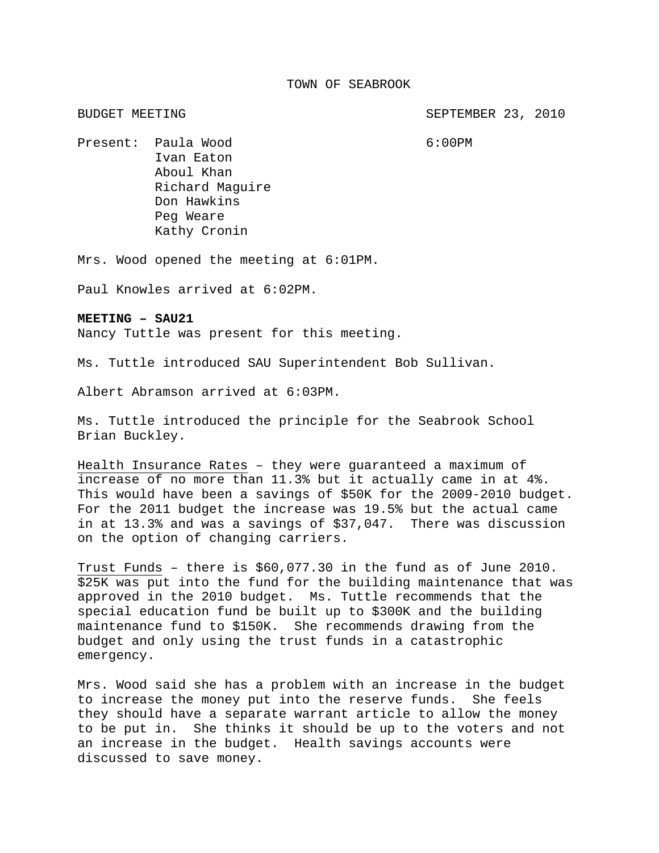BUDGET MEETING SEPTEMBER 23, 2010

Present: Paula Wood 6:00PM Ivan Eaton Aboul Khan Richard Maguire Don Hawkins Peg Weare Kathy Cronin

Mrs. Wood opened the meeting at 6:01PM.

Paul Knowles arrived at 6:02PM.

## **MEETING – SAU21**

Nancy Tuttle was present for this meeting.

Ms. Tuttle introduced SAU Superintendent Bob Sullivan.

Albert Abramson arrived at 6:03PM.

Ms. Tuttle introduced the principle for the Seabrook School Brian Buckley.

Health Insurance Rates – they were guaranteed a maximum of increase of no more than 11.3% but it actually came in at 4%. This would have been a savings of \$50K for the 2009-2010 budget. For the 2011 budget the increase was 19.5% but the actual came in at 13.3% and was a savings of \$37,047. There was discussion on the option of changing carriers.

Trust Funds – there is \$60,077.30 in the fund as of June 2010. \$25K was put into the fund for the building maintenance that was approved in the 2010 budget. Ms. Tuttle recommends that the special education fund be built up to \$300K and the building maintenance fund to \$150K. She recommends drawing from the budget and only using the trust funds in a catastrophic emergency.

Mrs. Wood said she has a problem with an increase in the budget to increase the money put into the reserve funds. She feels they should have a separate warrant article to allow the money to be put in. She thinks it should be up to the voters and not an increase in the budget. Health savings accounts were discussed to save money.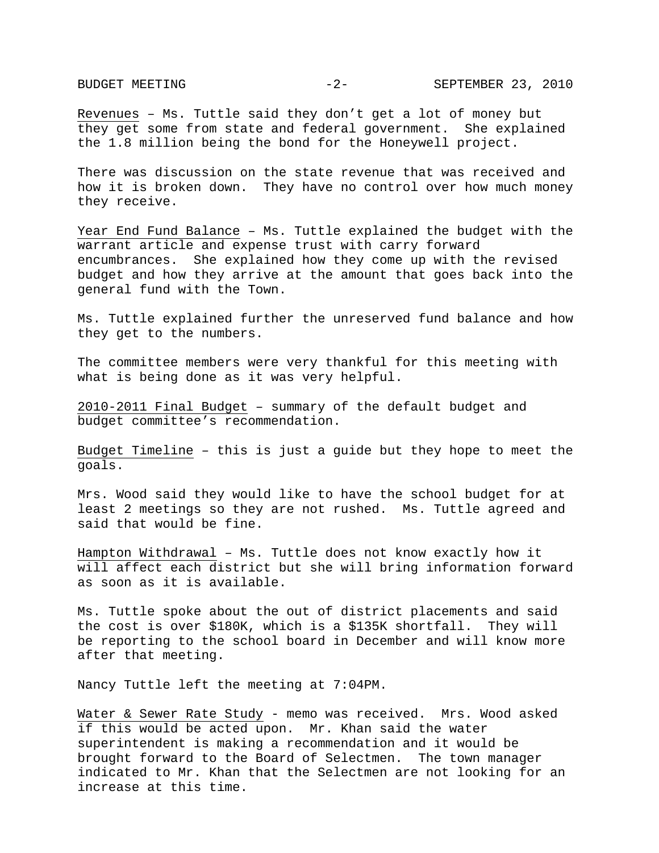Revenues – Ms. Tuttle said they don't get a lot of money but they get some from state and federal government. She explained the 1.8 million being the bond for the Honeywell project.

There was discussion on the state revenue that was received and how it is broken down. They have no control over how much money they receive.

Year End Fund Balance – Ms. Tuttle explained the budget with the warrant article and expense trust with carry forward encumbrances. She explained how they come up with the revised budget and how they arrive at the amount that goes back into the general fund with the Town.

Ms. Tuttle explained further the unreserved fund balance and how they get to the numbers.

The committee members were very thankful for this meeting with what is being done as it was very helpful.

2010-2011 Final Budget – summary of the default budget and budget committee's recommendation.

Budget Timeline – this is just a guide but they hope to meet the goals.

Mrs. Wood said they would like to have the school budget for at least 2 meetings so they are not rushed. Ms. Tuttle agreed and said that would be fine.

Hampton Withdrawal – Ms. Tuttle does not know exactly how it will affect each district but she will bring information forward as soon as it is available.

Ms. Tuttle spoke about the out of district placements and said the cost is over \$180K, which is a \$135K shortfall. They will be reporting to the school board in December and will know more after that meeting.

Nancy Tuttle left the meeting at 7:04PM.

Water & Sewer Rate Study - memo was received. Mrs. Wood asked if this would be acted upon. Mr. Khan said the water superintendent is making a recommendation and it would be brought forward to the Board of Selectmen. The town manager indicated to Mr. Khan that the Selectmen are not looking for an increase at this time.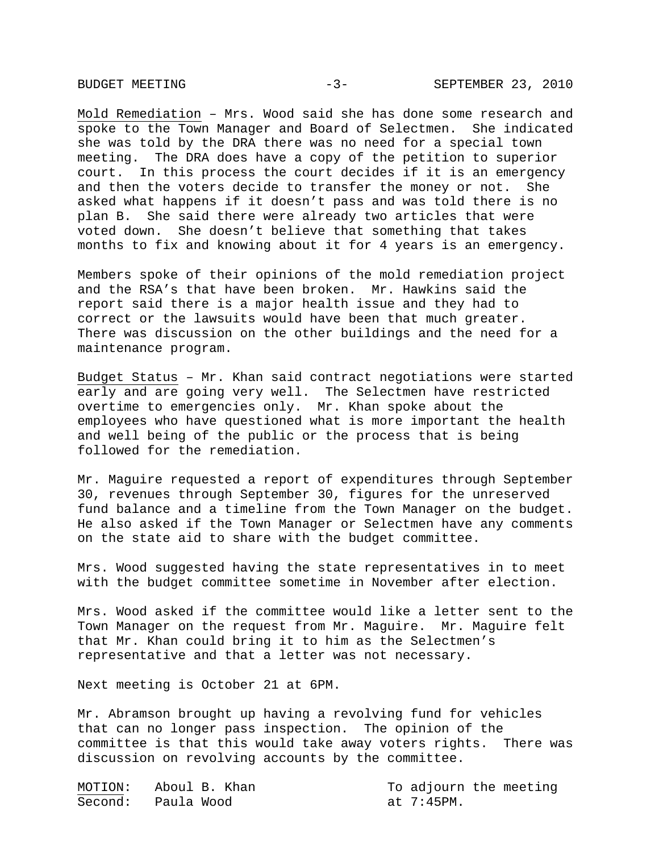Mold Remediation – Mrs. Wood said she has done some research and spoke to the Town Manager and Board of Selectmen. She indicated she was told by the DRA there was no need for a special town meeting. The DRA does have a copy of the petition to superior court. In this process the court decides if it is an emergency and then the voters decide to transfer the money or not. She asked what happens if it doesn't pass and was told there is no plan B. She said there were already two articles that were voted down. She doesn't believe that something that takes months to fix and knowing about it for 4 years is an emergency.

Members spoke of their opinions of the mold remediation project and the RSA's that have been broken. Mr. Hawkins said the report said there is a major health issue and they had to correct or the lawsuits would have been that much greater. There was discussion on the other buildings and the need for a maintenance program.

Budget Status – Mr. Khan said contract negotiations were started early and are going very well. The Selectmen have restricted overtime to emergencies only. Mr. Khan spoke about the employees who have questioned what is more important the health and well being of the public or the process that is being followed for the remediation.

Mr. Maguire requested a report of expenditures through September 30, revenues through September 30, figures for the unreserved fund balance and a timeline from the Town Manager on the budget. He also asked if the Town Manager or Selectmen have any comments on the state aid to share with the budget committee.

Mrs. Wood suggested having the state representatives in to meet with the budget committee sometime in November after election.

Mrs. Wood asked if the committee would like a letter sent to the Town Manager on the request from Mr. Maguire. Mr. Maguire felt that Mr. Khan could bring it to him as the Selectmen's representative and that a letter was not necessary.

Next meeting is October 21 at 6PM.

Mr. Abramson brought up having a revolving fund for vehicles that can no longer pass inspection. The opinion of the committee is that this would take away voters rights. There was discussion on revolving accounts by the committee.

| MOTION: Aboul B. Khan |            | To adjourn the meeting |
|-----------------------|------------|------------------------|
| Second: Paula Wood    | at 7:45PM. |                        |